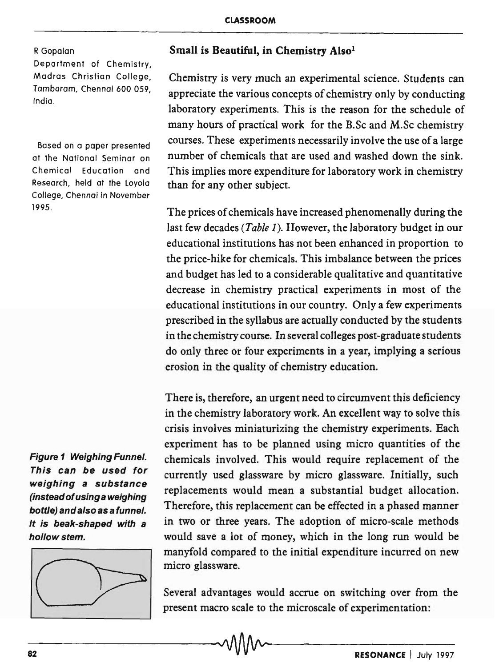## R Gopalan

Department of Chemistry, Madras Christian College, Tambaram, Chennai 600 059, India.

Based on a paper presented at the National Seminar on Chemical Education and Research, held at the Loyola College, Chennai in November 1995.

Figure 1 Weighing Funnel. This can be used for weighing a substance (instead of using a weighing bottle) and also as a funnel. It is beak-shaped with a hollow stem.



## Small is Beautiful, in Chemistry Also<sup>1</sup>

Chemistry is very much an experimental science. Students can appreciate the various concepts of chemistry only by conducting laboratory experiments. This is the reason for the schedule of many hours of practical work for the B.Sc and M.Sc chemistry courses. These experiments necessarily involve the use of a large number of chemicals that are used and washed down the sink. This implies more expenditure for laboratory work in chemistry than for any other subject.

The prices of chemicals have increased phenomenally during the last few decades *(Table* 1). However, the laboratory budget in our educational institutions has not been enhanced in proportion to the price-hike for chemicals. This imbalance between the prices and budget has led to a considerable qualitative and quantitative decrease in chemistry practical experiments in most of the educational institutions in our country. Only a few experiments prescribed in the syllabus are actually conducted by the students in the chemistry course. In several colleges post-graduate students do only three or four experiments in a year, implying a serious erosion in the quality of chemistry education.

There is, therefore, an urgent need to circumvent this deficiency in the chemistry laboratory work. An excellent way to solve this crisis involves miniaturizing the chemistry experiments. Each experiment has to be planned using micro quantities of the chemicals involved. This would require replacement of the currently used glassware by micro glassware. Initially, such replacements would mean a substantial budget allocation. Therefore, this replacement can be effected in a phased manner in two or three years. The adoption of micro-scale methods would save a lot of money, which in the long run would be manyfold compared to the initial expenditure incurred on new micro glassware.

Several advantages would accrue on switching over from the present macro scale to the microscale of experimentation:

-82------------------------------~---------------R-E-S-O-N-A-N-C-E-I-J-U-,Y--19-9-7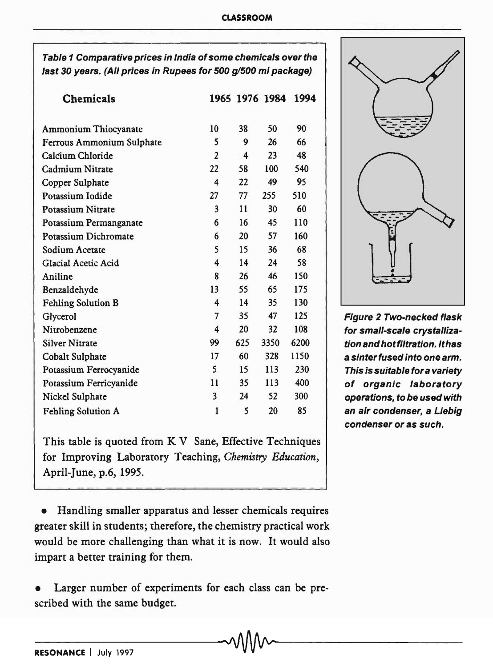Table 1 Comparative prices in India of some chemicals over the last 30 years. (All prices in Rupees for 500 g/500 ml package)

| <b>Chemicals</b>            |                |                         | 1965 1976 1984 | 1994 |
|-----------------------------|----------------|-------------------------|----------------|------|
|                             |                |                         |                |      |
| <b>Ammonium Thiocyanate</b> | 10             | 38                      | 50             | 90   |
| Ferrous Ammonium Sulphate   | 5              | 9                       | 26             | 66   |
| Calcium Chloride            | $\overline{2}$ | $\overline{\mathbf{4}}$ | 23             | 48   |
| Cadmium Nitrate             | 22             | 58                      | 100            | 540  |
| Copper Sulphate             | 4              | 22                      | 49             | 95   |
| Potassium Iodide            | 27             | 77                      | 255            | 510  |
| <b>Potassium Nitrate</b>    | 3              | 11                      | 30             | 60   |
| Potassium Permanganate      | 6              | 16                      | 45             | 110  |
| Potassium Dichromate        | 6              | 20                      | 57             | 160  |
| Sodium Acetate              | 5              | 15                      | 36             | 68   |
| Glacial Acetic Acid         | 4              | 14                      | 24             | 58   |
| Aniline                     | 8              | 26                      | 46             | 150  |
| Benzaldehyde                | 13             | 55                      | 65             | 175  |
| <b>Fehling Solution B</b>   | 4              | 14                      | 35             | 130  |
| Glycerol                    | 7              | 35                      | 47             | 125  |
| Nitrobenzene                | 4              | 20                      | 32             | 108  |
| <b>Silver Nitrate</b>       | 99             | 625                     | 3350           | 6200 |
| Cobalt Sulphate             | 17             | 60                      | 328            | 1150 |
| Potassium Ferrocyanide      | 5              | 15                      | 113            | 230  |
| Potassium Ferricyanide      | 11             | 35                      | 113            | 400  |
| Nickel Sulphate             | 3              | 24                      | 52             | 300  |
| <b>Fehling Solution A</b>   | 1              | 5                       | 20             | 85   |

This table is quoted from K V Sane, Effective Techniques for Improving Laboratory Teaching, *Chemistry Education,*  April-June, p.6, 1995.

• Handling smaller apparatus and lesser chemicals requires greater skill in students; therefore, the chemistry practical work would be more challenging than what it is now. It would also impart a better training for them.

Larger number of experiments for each class can be prescribed with the same budget.

ill Figure 2 Two-necked flask for small-scale crystallization and hot filtration. It has a sinter fused into one arm. This is suitable fora variety of organic laboratory operations, to be used with an air condenser, a Liebig

condenser or as such.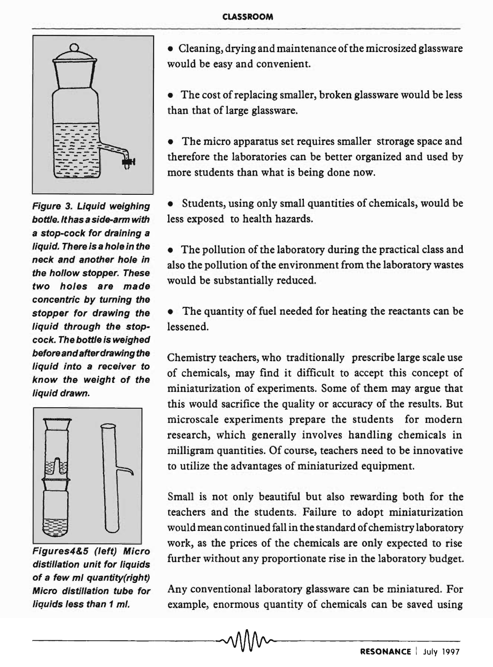

Figure 3. Liquid weighing bottle. It has a side-arm with a stop-cock for draining a liquid. There is a hole in the neck and another hole in the hollow stopper. These two holes are made concentric by turning the stopper for drawing the liquid through the stopcock. The bottle is weighed before and after drawing the liquid into a receiver to know the weight of the liquid drawn.



Figures4&5 (left) Micro distillation unit for liquids of a few ml quantity(right) Micro distillation tube for liquids less than 1 mi.

• Cleaning, drying and maintenance of the microsized glassware would be easy and convenient.

• The cost of replacing smaller, broken glassware would be less than that of large glassware.

The micro apparatus set requires smaller strorage space and therefore the laboratories can be better organized and used by more students than what is being done now.

• Students, using only small quantities of chemicals, would be less exposed to health hazards.

• The pollution of the laboratory during the practical class and also the pollution of the environment from the laboratory wastes would be substantially reduced.

The quantity of fuel needed for heating the reactants can be lessened.

Chemistry teachers, who traditionally prescribe large scale use of chemicals, may find it difficult to accept this concept of miniaturization of experiments. Some of them may argue that this would sacrifice the quality or accuracy of the results. But microscale experiments prepare the students for modern research, which generally involves handling chemicals in milligram quantities. Of course, teachers need to be innovative to utilize the advantages of miniaturized equipment.

Small is not only beautiful but also rewarding both for the teachers and the students. Failure to adopt miniaturization would mean continued fall in the standard of chemistry laboratory work, as the prices of the chemicals are only expected to rise further without any proportionate rise in the laboratory budget.

Any conventional laboratory glassware can be miniatured. For example, enormous quantity of chemicals can be saved using